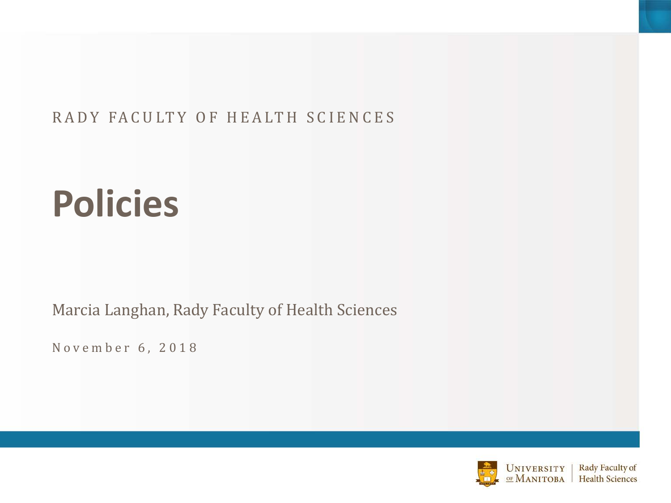#### RADY FACULTY OF HEALTH SCIENCES

# **Policies**

Marcia Langhan, Rady Faculty of Health Sciences

November 6, 2018

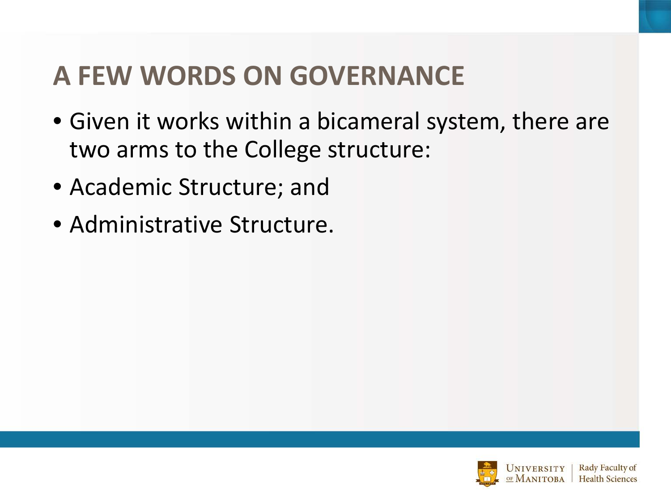### **A FEW WORDS ON GOVERNANCE**

- Given it works within a bicameral system, there are two arms to the College structure:
- Academic Structure; and
- Administrative Structure.

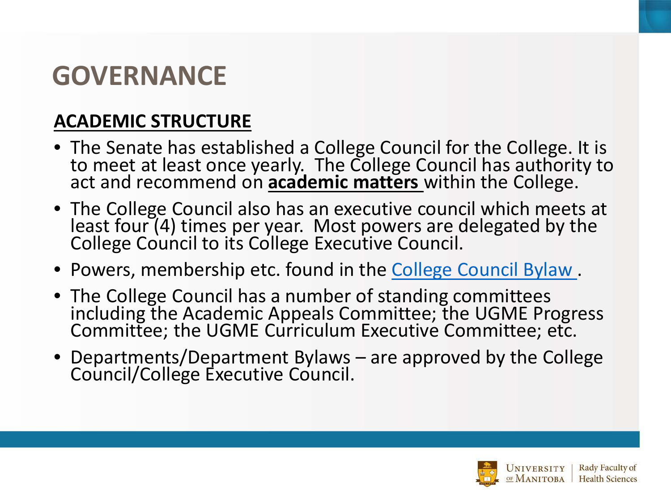#### **GOVERNANCE**

#### **ACADEMIC STRUCTURE**

- The Senate has established a College Council for the College. It is to meet at least once yearly. The College Council has authority to act and recommend on **academic matters** within the College.
- The College Council also has an executive council which meets at least four (4) times per year. Most powers are delegated by the College Council to its College Executive Council.
- Powers, membership etc. found in the [College Council Bylaw](http://umanitoba.ca/faculties/health_sciences/8945.html) .
- The College Council has a number of standing committees including the Academic Appeals Committee; the UGME Progress Committee; the UGME Curriculum Executive Committee; etc.
- Departments/Department Bylaws are approved by the College Council/College Executive Council.

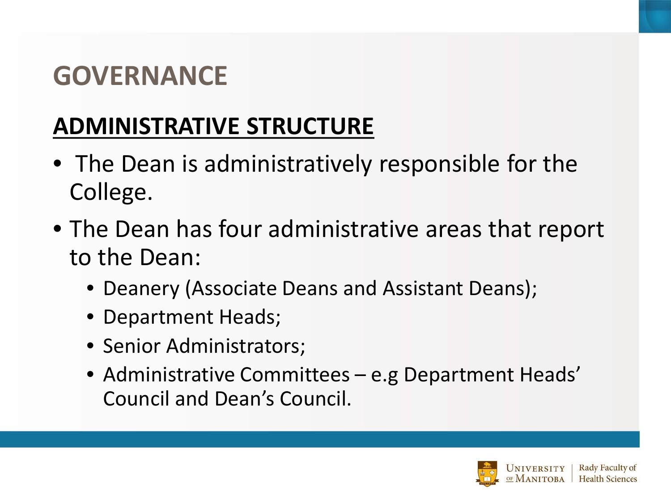#### **GOVERNANCE**

#### **ADMINISTRATIVE STRUCTURE**

- The Dean is administratively responsible for the College.
- The Dean has four administrative areas that report to the Dean:
	- Deanery (Associate Deans and Assistant Deans);
	- Department Heads;
	- Senior Administrators;
	- Administrative Committees e.g Department Heads' Council and Dean's Council.

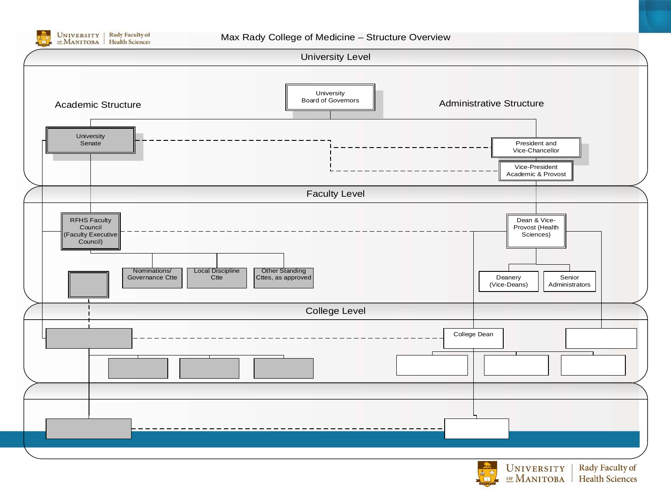

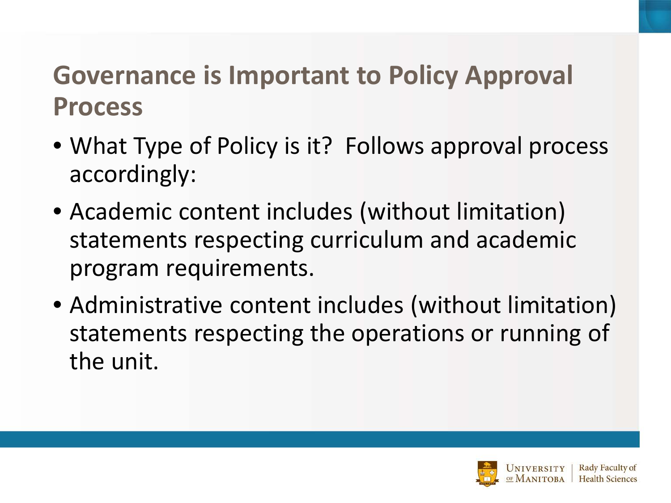#### **Governance is Important to Policy Approval Process**

- What Type of Policy is it? Follows approval process accordingly:
- Academic content includes (without limitation) statements respecting curriculum and academic program requirements.
- Administrative content includes (without limitation) statements respecting the operations or running of the unit.

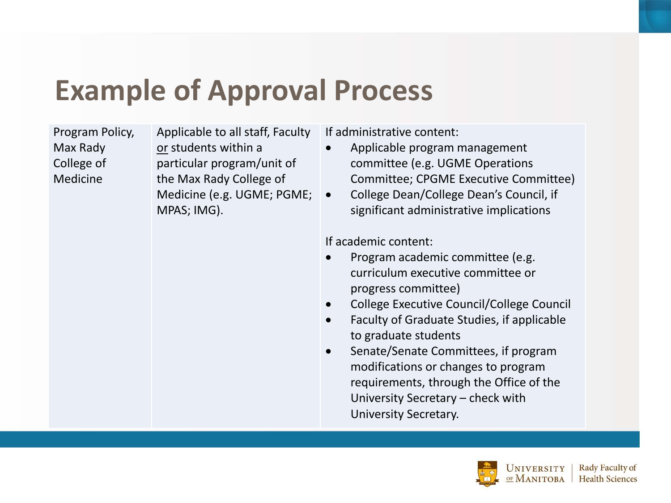## **Example of Approval Process**

Program Policy, Max Rady College of Medicine

Applicable to all staff, Faculty or students within a particular program/unit of the Max Rady College of Medicine (e.g. UGME; PGME;  $\bullet$ MPAS; IMG).

If administrative content:

- Applicable program management committee (e.g. UGME Operations Committee; CPGME Executive Committee)
- College Dean/College Dean's Council, if significant administrative implications

If academic content:

- Program academic committee (e.g. curriculum executive committee or progress committee)
- College Executive Council/College Council
- Faculty of Graduate Studies, if applicable to graduate students
- Senate/Senate Committees, if program modifications or changes to program requirements, through the Office of the University Secretary – check with University Secretary.

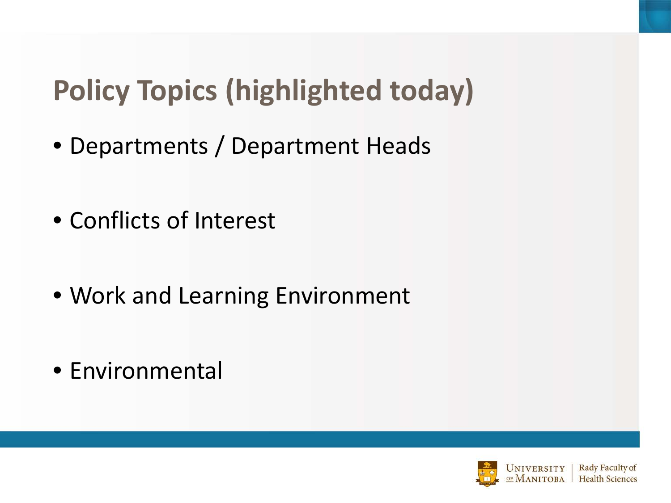# **Policy Topics (highlighted today)**

- Departments / Department Heads
- Conflicts of Interest
- Work and Learning Environment
- Environmental

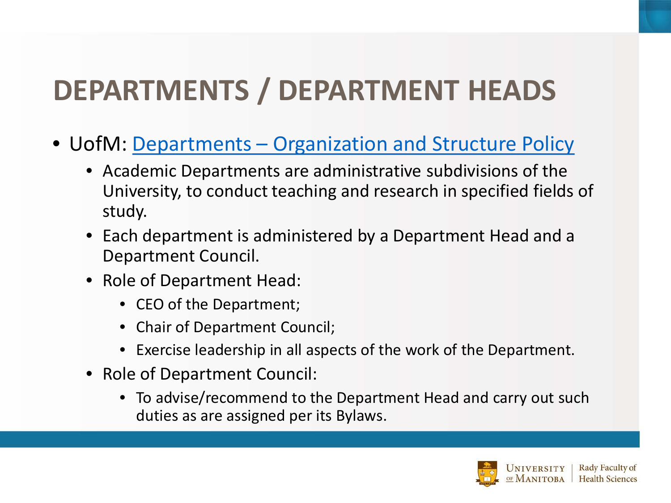## **DEPARTMENTS / DEPARTMENT HEADS**

- UofM: Departments [Organization and Structure Policy](http://umanitoba.ca/admin/governance/governing_documents/academic/341.html)
	- Academic Departments are administrative subdivisions of the University, to conduct teaching and research in specified fields of study.
	- Each department is administered by a Department Head and a Department Council.
	- Role of Department Head:
		- CEO of the Department;
		- Chair of Department Council;
		- Exercise leadership in all aspects of the work of the Department.
	- Role of Department Council:
		- To advise/recommend to the Department Head and carry out such duties as are assigned per its Bylaws.

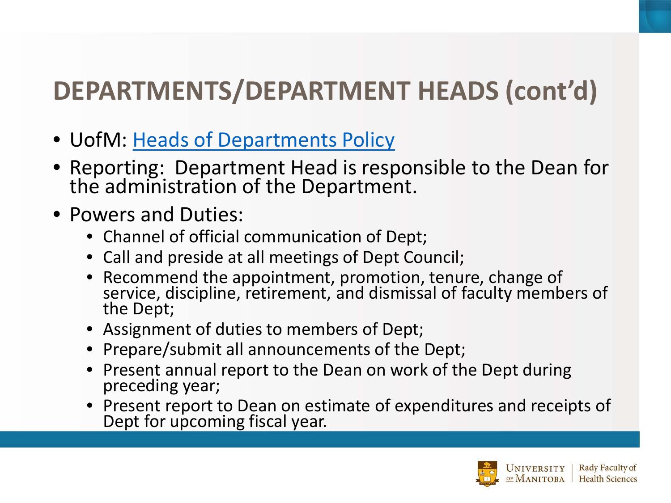## **DEPARTMENTS/DEPARTMENT HEADS (cont'd)**

- UofM: [Heads of Departments Policy](http://umanitoba.ca/admin/governance/governing_documents/officers/223.html)
- Reporting: Department Head is responsible to the Dean for the administration of the Department.
- Powers and Duties:
	- Channel of official communication of Dept;
	- Call and preside at all meetings of Dept Council;
	- Recommend the appointment, promotion, tenure, change of service, discipline, retirement, and dismissal of faculty members of the Dept;
	- Assignment of duties to members of Dept;
	- Prepare/submit all announcements of the Dept;
	- Present annual report to the Dean on work of the Dept during preceding year;
	- Present report to Dean on estimate of expenditures and receipts of Dept for upcoming fiscal year.

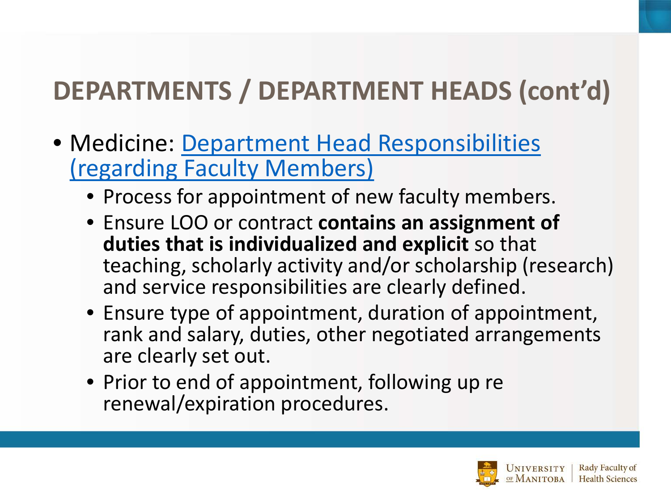## **DEPARTMENTS / DEPARTMENT HEADS (cont'd)**

- [Medicine: Department Head Responsibilities](http://umanitoba.ca/faculties/health_sciences/medicine/media/Department_Head_Responsibilities-regarding-Faculty-Members-(approved-June-19-2018).pdf) (regarding Faculty Members)
	- Process for appointment of new faculty members.
	- Ensure LOO or contract **contains an assignment of duties that is individualized and explicit** so that teaching, scholarly activity and/or scholarship (research) and service responsibilities are clearly defined.
	- Ensure type of appointment, duration of appointment, rank and salary, duties, other negotiated arrangements are clearly set out.
	- Prior to end of appointment, following up re renewal/expiration procedures.

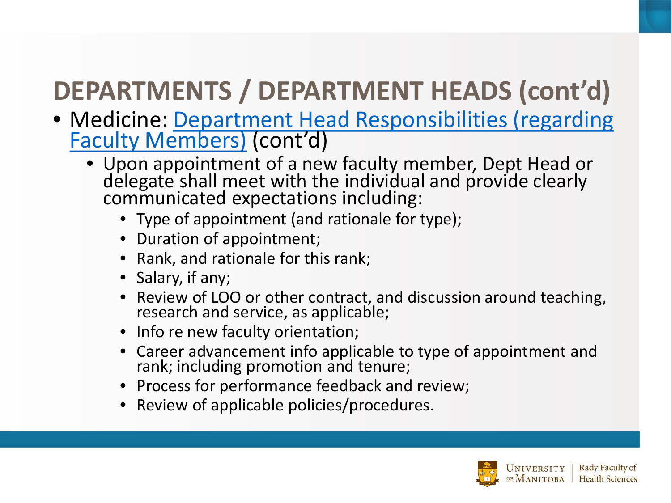## **DEPARTMENTS / DEPARTMENT HEADS (cont'd)**

- [Medicine: Department Head Responsibilities \(regarding Faculty Members\)](http://umanitoba.ca/faculties/health_sciences/medicine/policies_procedures.html) (cont'd)
	- Upon appointment of a new faculty member, Dept Head or delegate shall meet with the individual and provide clearly communicated expectations including:
		- Type of appointment (and rationale for type);
		- Duration of appointment;
		- Rank, and rationale for this rank;
		- Salary, if any;
		- Review of LOO or other contract, and discussion around teaching, research and service, as applicable;
		- Info re new faculty orientation;
		- Career advancement info applicable to type of appointment and rank; including promotion and tenure;
		- Process for performance feedback and review;
		- Review of applicable policies/procedures.

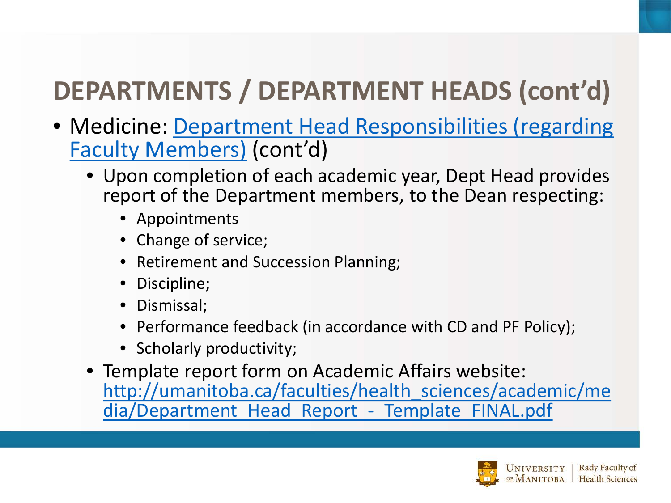## **DEPARTMENTS / DEPARTMENT HEADS (cont'd)**

- [Medicine: Department Head Responsibilities \(regarding](http://umanitoba.ca/faculties/health_sciences/medicine/media/Department_Head_Responsibilities-regarding-Faculty-Members-(approved-June-19-2018).pdf)  Faculty Members) (cont'd)
	- Upon completion of each academic year, Dept Head provides report of the Department members, to the Dean respecting:
		- Appointments
		- Change of service;
		- Retirement and Succession Planning;
		- Discipline;
		- Dismissal;
		- Performance feedback (in accordance with CD and PF Policy);
		- Scholarly productivity;
	- Template report form on Academic Affairs website: [http://umanitoba.ca/faculties/health\\_sciences/academic/me](http://umanitoba.ca/faculties/health_sciences/academic/media/Department_Head_Report_-_Template_FINAL.pdf) dia/Department Head Report - Template FINAL.pdf

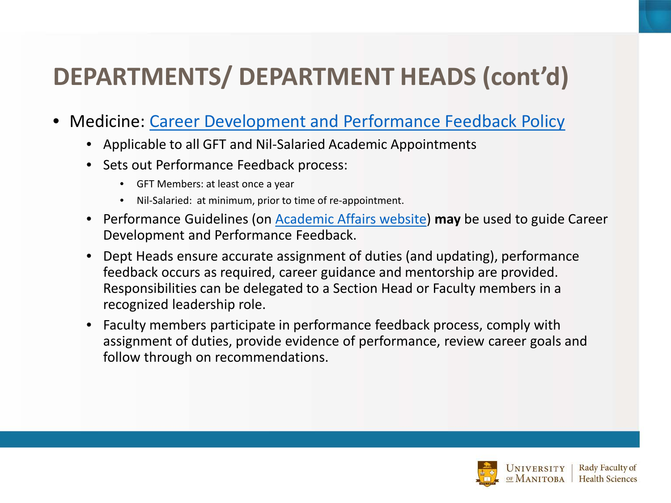### **DEPARTMENTS/ DEPARTMENT HEADS (cont'd)**

- Medicine: [Career Development and Performance Feedback Policy](http://umanitoba.ca/faculties/health_sciences/medicine/policies_procedures.html)
	- Applicable to all GFT and Nil-Salaried Academic Appointments
	- Sets out Performance Feedback process:
		- GFT Members: at least once a year
		- Nil-Salaried: at minimum, prior to time of re-appointment.
	- Performance Guidelines (on [Academic Affairs website\)](http://umanitoba.ca/faculties/health_sciences/academic/index.html) **may** be used to guide Career Development and Performance Feedback.
	- Dept Heads ensure accurate assignment of duties (and updating), performance feedback occurs as required, career guidance and mentorship are provided. Responsibilities can be delegated to a Section Head or Faculty members in a recognized leadership role.
	- Faculty members participate in performance feedback process, comply with assignment of duties, provide evidence of performance, review career goals and follow through on recommendations.

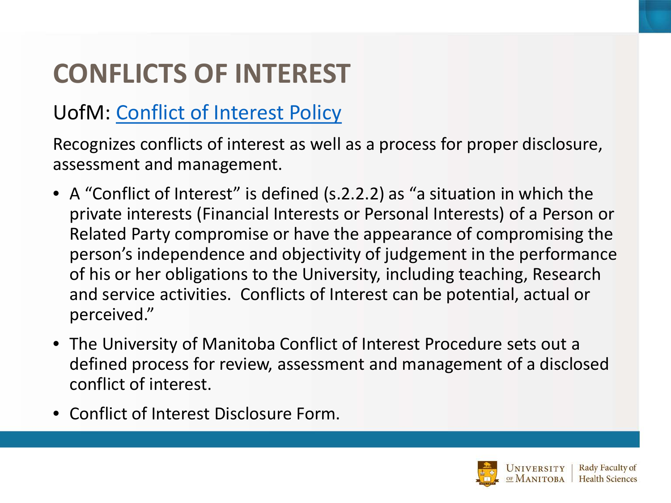## **CONFLICTS OF INTEREST**

#### UofM: [Conflict of Interest Policy](http://umanitoba.ca/admin/governance/governing_documents/community/248.html)

Recognizes conflicts of interest as well as a process for proper disclosure, assessment and management.

- A "Conflict of Interest" is defined (s.2.2.2) as "a situation in which the private interests (Financial Interests or Personal Interests) of a Person or Related Party compromise or have the appearance of compromising the person's independence and objectivity of judgement in the performance of his or her obligations to the University, including teaching, Research and service activities. Conflicts of Interest can be potential, actual or perceived."
- The University of Manitoba Conflict of Interest Procedure sets out a defined process for review, assessment and management of a disclosed conflict of interest.
- Conflict of Interest Disclosure Form.

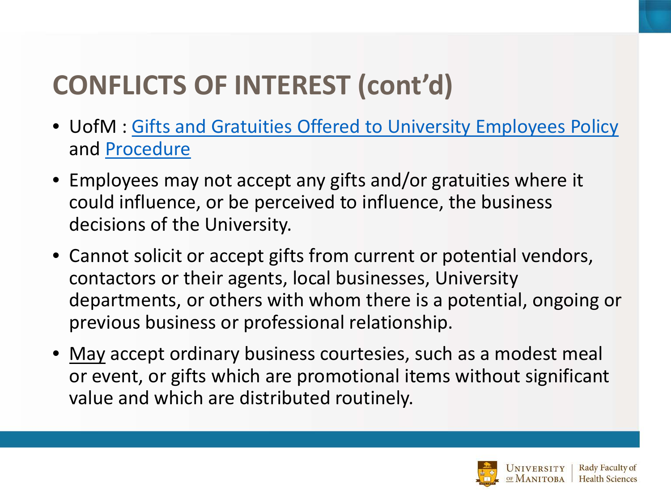## **CONFLICTS OF INTEREST (cont'd)**

- UofM : [Gifts and Gratuities Offered to University Employees Policy](http://umanitoba.ca/admin/governance/media/Gifts_and_Gratuities_Offered_to_Univ_Employees_Policy_-_2013_07_02_RF.pdf) and [Procedure](http://umanitoba.ca/admin/governance/media/Gifts_and_Gratuities_Offered_to_Univ_Employees_Procedures_-_2013_07_02_RF.pdf)
- Employees may not accept any gifts and/or gratuities where it could influence, or be perceived to influence, the business decisions of the University.
- Cannot solicit or accept gifts from current or potential vendors, contactors or their agents, local businesses, University departments, or others with whom there is a potential, ongoing or previous business or professional relationship.
- May accept ordinary business courtesies, such as a modest meal or event, or gifts which are promotional items without significant value and which are distributed routinely.

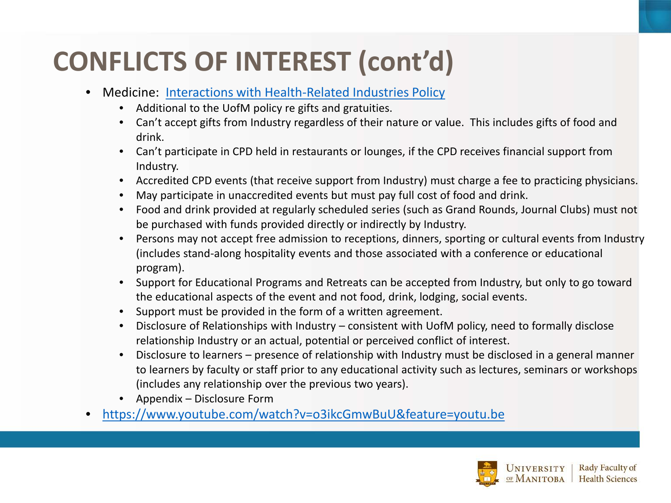## **CONFLICTS OF INTEREST (cont'd)**

- Medicine: [Interactions with Health-Related Industries](http://umanitoba.ca/faculties/health_sciences/medicine/education/ed_dev/media/Interactions_with_Health_Related_Industries_Policy_June_21_2018.pdf) Policy
	- Additional to the UofM policy re gifts and gratuities.
	- Can't accept gifts from Industry regardless of their nature or value. This includes gifts of food and drink.
	- Can't participate in CPD held in restaurants or lounges, if the CPD receives financial support from Industry.
	- Accredited CPD events (that receive support from Industry) must charge a fee to practicing physicians.
	- May participate in unaccredited events but must pay full cost of food and drink.
	- Food and drink provided at regularly scheduled series (such as Grand Rounds, Journal Clubs) must not be purchased with funds provided directly or indirectly by Industry.
	- Persons may not accept free admission to receptions, dinners, sporting or cultural events from Industry (includes stand-along hospitality events and those associated with a conference or educational program).
	- Support for Educational Programs and Retreats can be accepted from Industry, but only to go toward the educational aspects of the event and not food, drink, lodging, social events.
	- Support must be provided in the form of a written agreement.
	- Disclosure of Relationships with Industry consistent with UofM policy, need to formally disclose relationship Industry or an actual, potential or perceived conflict of interest.
	- Disclosure to learners presence of relationship with Industry must be disclosed in a general manner to learners by faculty or staff prior to any educational activity such as lectures, seminars or workshops (includes any relationship over the previous two years).
	- Appendix Disclosure Form
- <https://www.youtube.com/watch?v=o3ikcGmwBuU&feature=youtu.be>

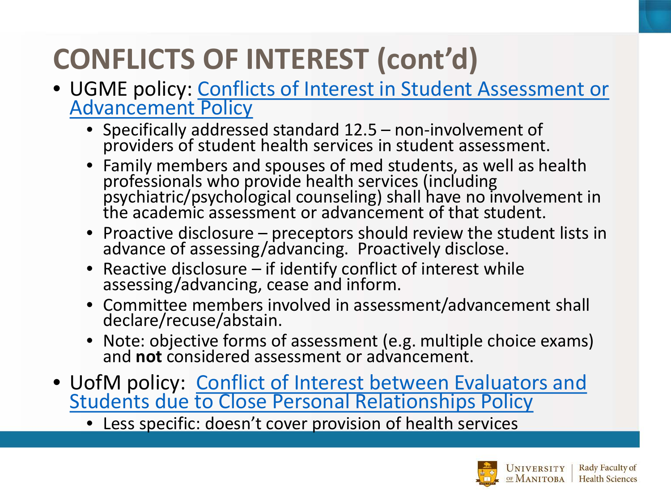## **CONFLICTS OF INTEREST (cont'd)**

- [UGME policy: Conflicts of Interest in Student Assessment or](http://umanitoba.ca/faculties/health_sciences/medicine/education/undergraduate/media/Conflict_of_Interest_-_Student_Assessment_or_Advancement_Policy_Final_5.29.18.pdf)  Advancement Policy
	- Specifically addressed standard 12.5 non-involvement of providers of student health services in student assessment.
	- Family members and spouses of med students, as well as health professionals who provide health services (including psychiatric/psychological counseling) shall have no involvement in the academic assessment or advancement of that student.
	- Proactive disclosure preceptors should review the student lists in advance of assessing/advancing. Proactively disclose.
	- Reactive disclosure if identify conflict of interest while assessing/advancing, cease and inform.
	- Committee members involved in assessment/advancement shall declare/recuse/abstain.
	- Note: objective forms of assessment (e.g. multiple choice exams) and **not** considered assessment or advancement.
- [UofM policy: Conflict of Interest between Evaluators and](http://umanitoba.ca/admin/governance/governing_documents/students/277.html)  **Students due to Close Personal Relationships Policy** 
	- Less specific: doesn't cover provision of health services

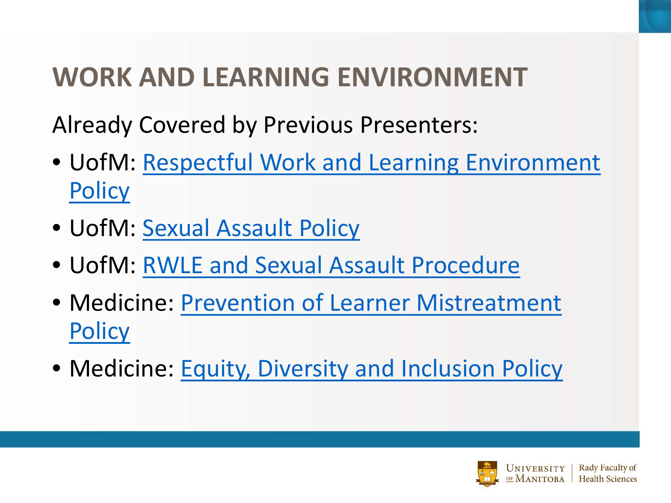## **WORK AND LEARNING ENVIRONMENT**

Already Covered by Previous Presenters:

- [UofM: Respectful Work and Learning Environment](http://umanitoba.ca/admin/governance/governing_documents/community/230.html)  **Policy**
- UofM: [Sexual Assault Policy](http://umanitoba.ca/admin/governance/governing_documents/community/230.html)
- UofM: [RWLE and Sexual Assault Procedure](http://umanitoba.ca/admin/governance/governing_documents/community/230.html)
- [Medicine: Prevention of Learner Mistreatment](http://umanitoba.ca/faculties/health_sciences/medicine/education/ed_dev/media/Policy_for_Prevention_of_Learner_Mistreatment_June_21_2018.pdf.pdf)  **Policy**
- Medicine: [Equity, Diversity and Inclusion Policy](http://umanitoba.ca/faculties/health_sciences/media/Equity-Diversity-and-Inclusion-policy-August-21-2018.pdf)

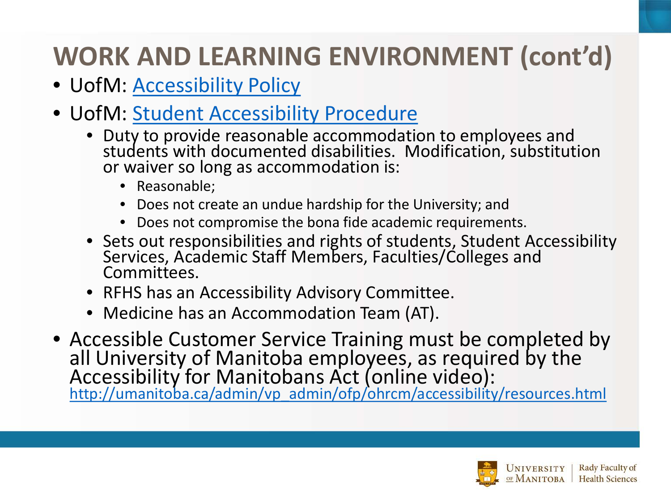## **WORK AND LEARNING ENVIRONMENT (cont'd)**

- UofM: [Accessibility Policy](http://umanitoba.ca/admin/governance/governing_documents/students/accessibility.html)
- UofM: [Student Accessibility Procedure](http://umanitoba.ca/admin/governance/governing_documents/students/accessibility.html)
	- Duty to provide reasonable accommodation to employees and students with documented disabilities. Modification, substitution or waiver so long as accommodation is:
		- Reasonable;
		- Does not create an undue hardship for the University; and
		- Does not compromise the bona fide academic requirements.
	- Sets out responsibilities and rights of students, Student Accessibility Services, Academic Staff Members, Faculties/Colleges and Committees.
	- RFHS has an Accessibility Advisory Committee.
	- Medicine has an Accommodation Team (AT).
- Accessible Customer Service Training must be completed by all University of Manitoba employees, as required by the Accessibility for Manitobans Act (online video): [http://umanitoba.ca/admin/vp\\_admin/ofp/ohrcm/accessibility/resources.html](http://umanitoba.ca/admin/vp_admin/ofp/ohrcm/accessibility/resources.html)

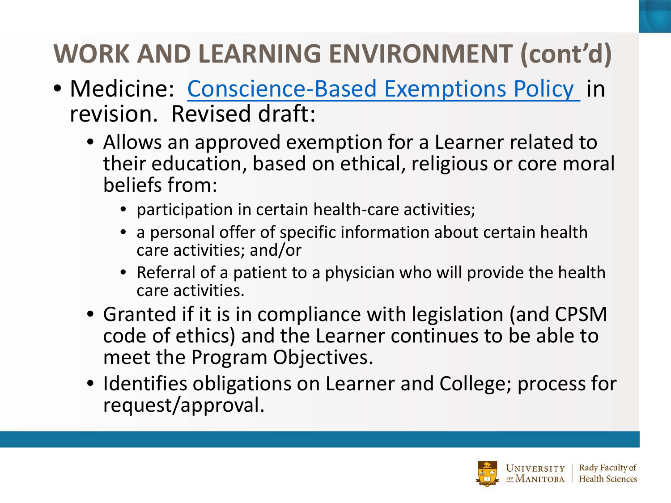## **WORK AND LEARNING ENVIRONMENT (cont'd)**

- Medicine: [Conscience-Based Exemptions Policy](http://umanitoba.ca/faculties/health_sciences/medicine/media/Conscience-Based_Exemptions_Policy_Aug2016.pdf) in revision. Revised draft:
	- Allows an approved exemption for a Learner related to their education, based on ethical, religious or core moral beliefs from:
		- participation in certain health-care activities;
		- a personal offer of specific information about certain health care activities; and/or
		- Referral of a patient to a physician who will provide the health care activities.
	- Granted if it is in compliance with legislation (and CPSM code of ethics) and the Learner continues to be able to meet the Program Objectives.
	- Identifies obligations on Learner and College; process for request/approval.

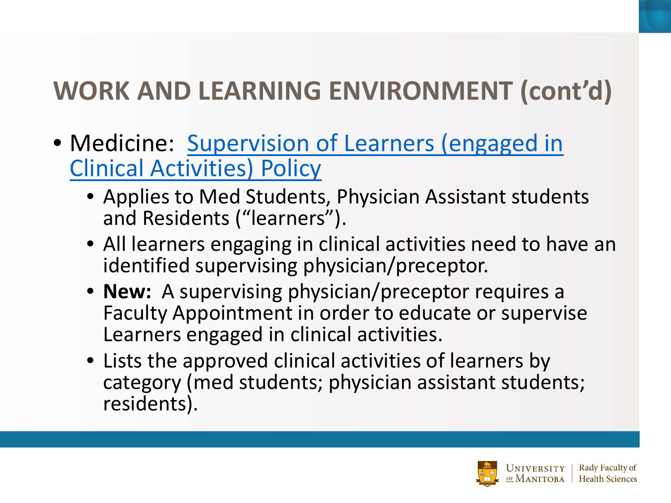## **WORK AND LEARNING ENVIRONMENT (cont'd)**

- [Medicine: Supervision of Learners \(engaged in](http://umanitoba.ca/faculties/health_sciences/medicine/education/ed_dev/media/Supervision_of_Learners_Policy_-_June_21_2018.pdf)  Clinical Activities) Policy
	- Applies to Med Students, Physician Assistant students and Residents ("learners").
	- All learners engaging in clinical activities need to have an identified supervising physician/preceptor.
	- **New:** A supervising physician/preceptor requires a Faculty Appointment in order to educate or supervise Learners engaged in clinical activities.
	- Lists the approved clinical activities of learners by category (med students; physician assistant students; residents).

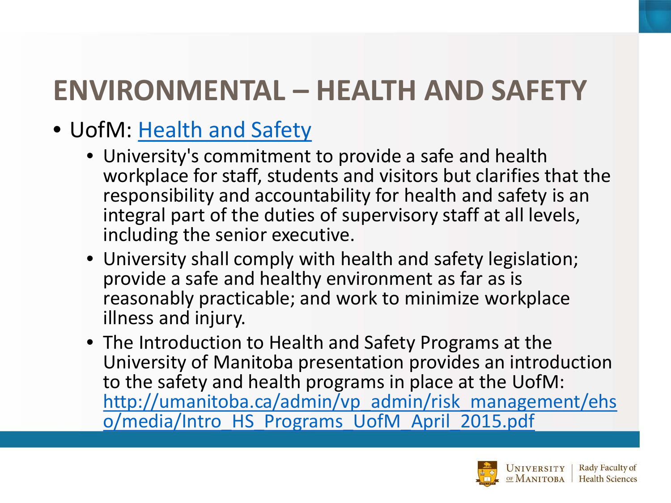- UofM: [Health and Safety](http://umanitoba.ca/admin/governance/governing_documents/staff/551.html)
	- University's commitment to provide a safe and health workplace for staff, students and visitors but clarifies that the responsibility and accountability for health and safety is an integral part of the duties of supervisory staff at all levels, including the senior executive.
	- University shall comply with health and safety legislation; provide a safe and healthy environment as far as is reasonably practicable; and work to minimize workplace illness and injury.
	- The Introduction to Health and Safety Programs at the University of Manitoba presentation provides an introduction to the safety and health programs in place at the UofM: [http://umanitoba.ca/admin/vp\\_admin/risk\\_management/ehs](http://umanitoba.ca/admin/vp_admin/risk_management/ehso/media/Intro_HS_Programs_UofM_April_2015.pdf) o/media/Intro\_HS\_Programs\_UofM\_April\_2015.pdf

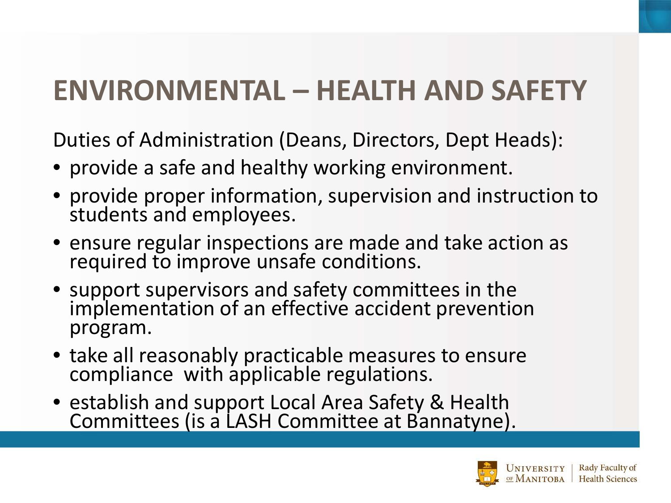Duties of Administration (Deans, Directors, Dept Heads):

- provide a safe and healthy working environment.
- provide proper information, supervision and instruction to students and employees.
- ensure regular inspections are made and take action as required to improve unsafe conditions.
- support supervisors and safety committees in the implementation of an effective accident prevention program.
- take all reasonably practicable measures to ensure compliance with applicable regulations.
- establish and support Local Area Safety & Health Committees (is a LASH Committee at Bannatyne).

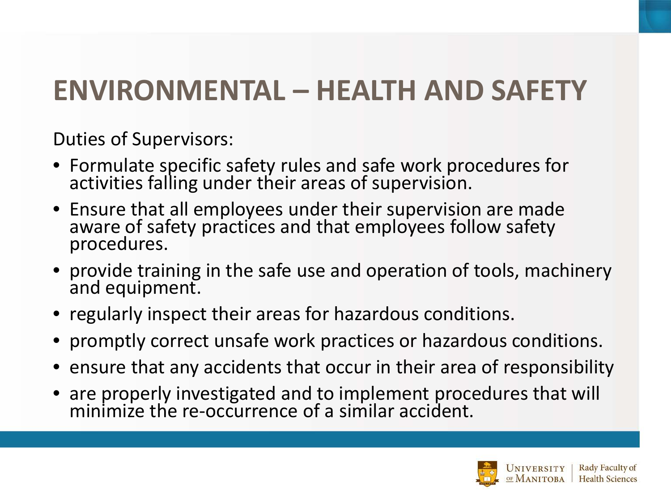Duties of Supervisors:

- Formulate specific safety rules and safe work procedures for activities falling under their areas of supervision.
- Ensure that all employees under their supervision are made aware of safety practices and that employees follow safety<br>procedures.
- provide training in the safe use and operation of tools, machinery and equipment.
- regularly inspect their areas for hazardous conditions.
- promptly correct unsafe work practices or hazardous conditions.
- ensure that any accidents that occur in their area of responsibility
- are properly investigated and to implement procedures that will minimize the re-occurrence of a similar accident.

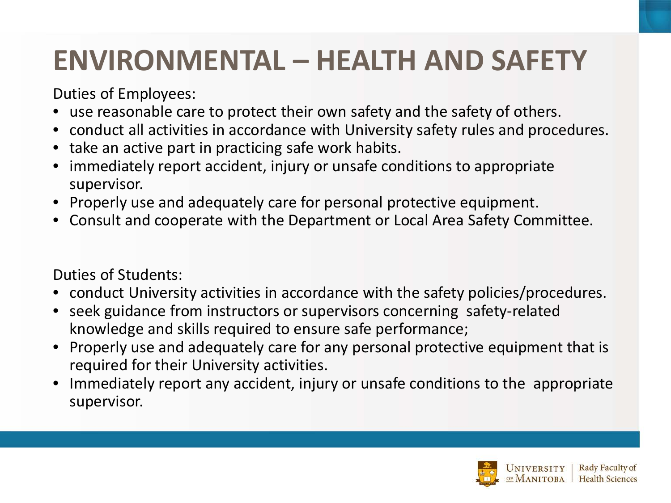Duties of Employees:

- use reasonable care to protect their own safety and the safety of others.
- conduct all activities in accordance with University safety rules and procedures.
- take an active part in practicing safe work habits.
- immediately report accident, injury or unsafe conditions to appropriate supervisor.
- Properly use and adequately care for personal protective equipment.
- Consult and cooperate with the Department or Local Area Safety Committee.

Duties of Students:

- conduct University activities in accordance with the safety policies/procedures.
- seek guidance from instructors or supervisors concerning safety-related knowledge and skills required to ensure safe performance;
- Properly use and adequately care for any personal protective equipment that is required for their University activities.
- Immediately report any accident, injury or unsafe conditions to the appropriate supervisor.

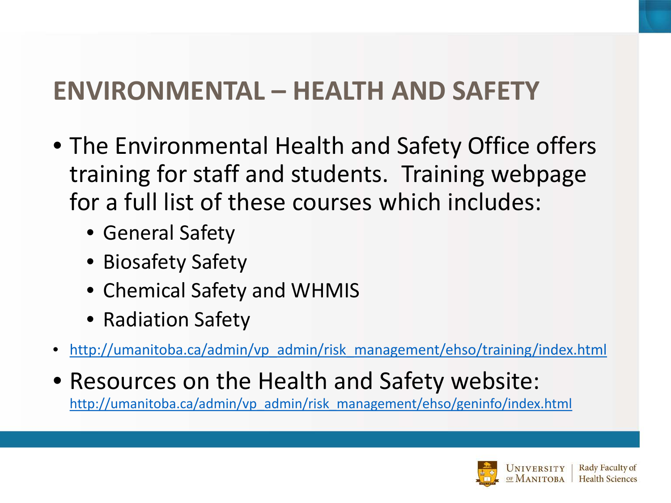- The Environmental Health and Safety Office offers training for staff and students. Training webpage for a full list of these courses which includes:
	- General Safety
	- Biosafety Safety
	- Chemical Safety and WHMIS
	- Radiation Safety
- [http://umanitoba.ca/admin/vp\\_admin/risk\\_management/ehso/training/index.html](http://umanitoba.ca/admin/vp_admin/risk_management/ehso/training/index.html)
- Resources on the Health and Safety website: [http://umanitoba.ca/admin/vp\\_admin/risk\\_management/ehso/geninfo/index.html](http://umanitoba.ca/admin/vp_admin/risk_management/ehso/geninfo/index.html)

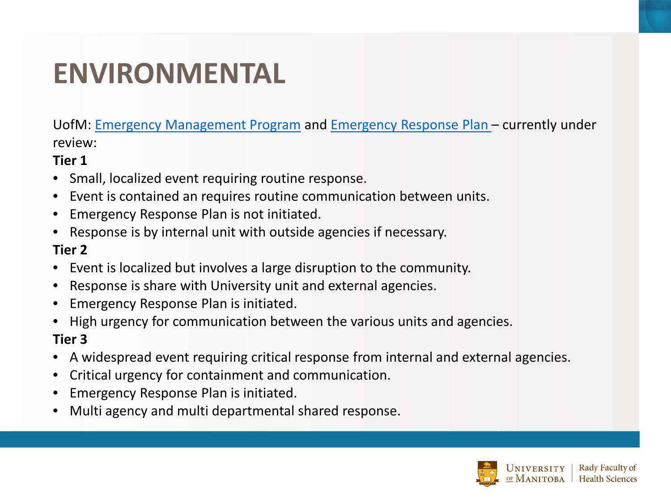## **ENVIRONMENTAL**

UofM: [Emergency Management Program](http://umanitoba.ca/admin/governance/governing_documents/operations/emergency_management_program_policy.html) and [Emergency Response Plan –](http://umanitoba.ca/admin/vp_admin/risk_management/media/UMERPlanAug08.pdf) currently under review:

#### **Tier 1**

- Small, localized event requiring routine response.
- Event is contained an requires routine communication between units.
- Emergency Response Plan is not initiated.
- Response is by internal unit with outside agencies if necessary.

#### **Tier 2**

- Event is localized but involves a large disruption to the community.
- Response is share with University unit and external agencies.
- Emergency Response Plan is initiated.
- High urgency for communication between the various units and agencies.

#### **Tier 3**

- A widespread event requiring critical response from internal and external agencies.
- Critical urgency for containment and communication.
- Emergency Response Plan is initiated.
- Multi agency and multi departmental shared response.

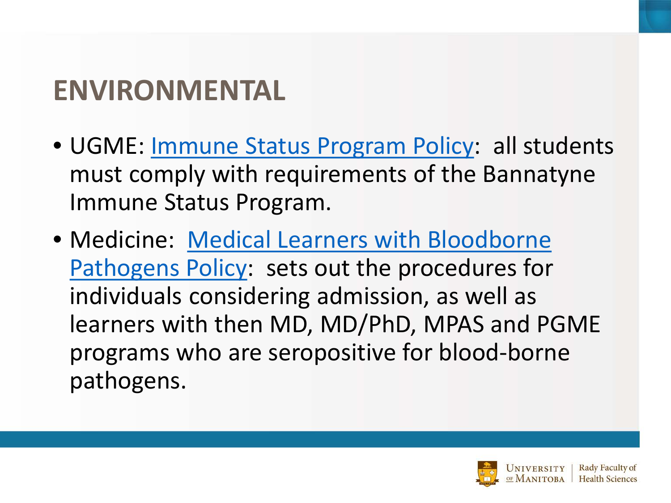## **ENVIRONMENTAL**

- UGME: [Immune Status Program Policy:](http://umanitoba.ca/faculties/health_sciences/medicine/education/undergraduate/media/Immune_Status_Policy__Procedures_revised_Oct6_15.pdf) all students must comply with requirements of the Bannatyne Immune Status Program.
- Medicine: Medical Learners with Bloodborne [Pathogens Policy: sets out the procedures for](http://umanitoba.ca/faculties/health_sciences/medicine/education/undergraduate/media/Medical_Learners_with_Blood-borne_Pathogens.pdf) individuals considering admission, as well as learners with then MD, MD/PhD, MPAS and PGME programs who are seropositive for blood-borne pathogens.

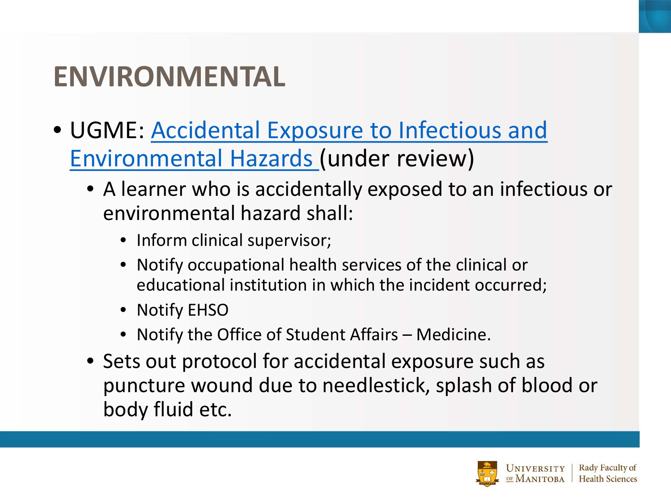## **ENVIRONMENTAL**

- [UGME: Accidental Exposure to Infectious and](http://umanitoba.ca/faculties/health_sciences/medicine/education/undergraduate/media/Accidental_Exposure_to_Infectious_and_Environmental_Hazards_Final.pdf)  Environmental Hazards (under review)
	- A learner who is accidentally exposed to an infectious or environmental hazard shall:
		- Inform clinical supervisor;
		- Notify occupational health services of the clinical or educational institution in which the incident occurred;
		- Notify EHSO
		- Notify the Office of Student Affairs Medicine.
	- Sets out protocol for accidental exposure such as puncture wound due to needlestick, splash of blood or body fluid etc.

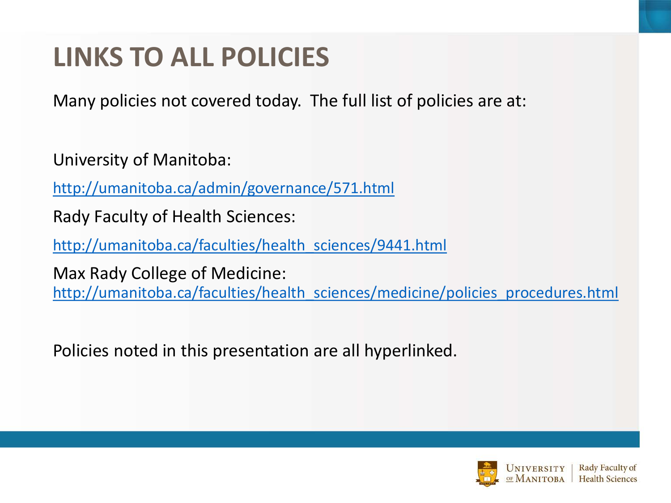## **LINKS TO ALL POLICIES**

Many policies not covered today. The full list of policies are at:

University of Manitoba:

<http://umanitoba.ca/admin/governance/571.html>

Rady Faculty of Health Sciences:

[http://umanitoba.ca/faculties/health\\_sciences/9441.html](http://umanitoba.ca/faculties/health_sciences/9441.html)

Max Rady College of Medicine: [http://umanitoba.ca/faculties/health\\_sciences/medicine/policies\\_procedures.html](http://umanitoba.ca/faculties/health_sciences/medicine/policies_procedures.html)

Policies noted in this presentation are all hyperlinked.